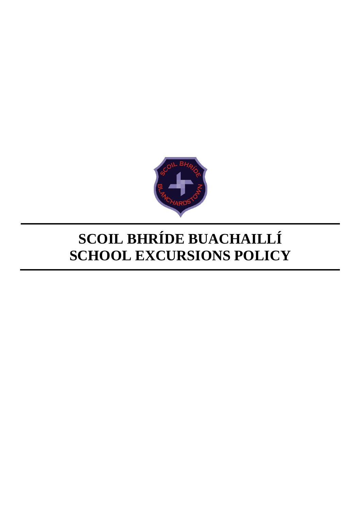

# **SCOIL BHRÍDE BUACHAILLÍ SCHOOL EXCURSIONS POLICY**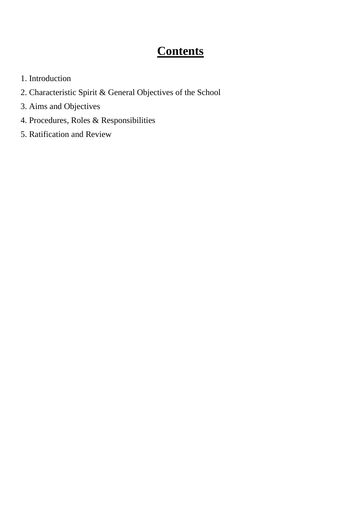## **Contents**

- 1. Introduction
- 2. Characteristic Spirit & General Objectives of the School
- 3. Aims and Objectives
- 4. Procedures, Roles & Responsibilities
- 5. Ratification and Review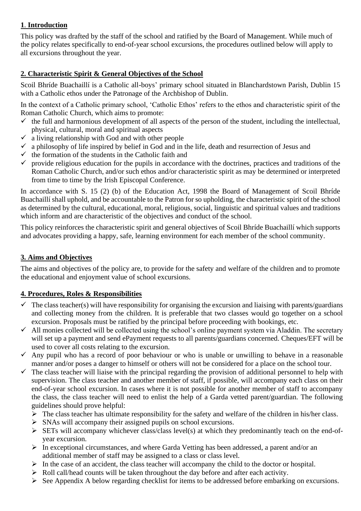#### **1**. **Introduction**

This policy was drafted by the staff of the school and ratified by the Board of Management. While much of the policy relates specifically to end-of-year school excursions, the procedures outlined below will apply to all excursions throughout the year.

#### **2. Characteristic Spirit & General Objectives of the School**

Scoil Bhríde Buachaillí is a Catholic all-boys' primary school situated in Blanchardstown Parish, Dublin 15 with a Catholic ethos under the Patronage of the Archbishop of Dublin.

In the context of a Catholic primary school, 'Catholic Ethos' refers to the ethos and characteristic spirit of the Roman Catholic Church, which aims to promote:

- $\checkmark$  the full and harmonious development of all aspects of the person of the student, including the intellectual, physical, cultural, moral and spiritual aspects
- $\checkmark$  a living relationship with God and with other people
- $\checkmark$  a philosophy of life inspired by belief in God and in the life, death and resurrection of Jesus and
- $\checkmark$  the formation of the students in the Catholic faith and
- $\checkmark$  provide religious education for the pupils in accordance with the doctrines, practices and traditions of the Roman Catholic Church, and/or such ethos and/or characteristic spirit as may be determined or interpreted from time to time by the Irish Episcopal Conference.

In accordance with S. 15 (2) (b) of the Education Act, 1998 the Board of Management of Scoil Bhríde Buachaillí shall uphold, and be accountable to the Patron for so upholding, the characteristic spirit of the school as determined by the cultural, educational, moral, religious, social, linguistic and spiritual values and traditions which inform and are characteristic of the objectives and conduct of the school.

This policy reinforces the characteristic spirit and general objectives of Scoil Bhríde Buachaillí which supports and advocates providing a happy, safe, learning environment for each member of the school community.

#### **3. Aims and Objectives**

The aims and objectives of the policy are, to provide for the safety and welfare of the children and to promote the educational and enjoyment value of school excursions.

#### **4. Procedures, Roles & Responsibilities**

- $\checkmark$  The class teacher(s) will have responsibility for organising the excursion and liaising with parents/guardians and collecting money from the children. It is preferable that two classes would go together on a school excursion. Proposals must be ratified by the principal before proceeding with bookings, etc.
- $\checkmark$  All monies collected will be collected using the school's online payment system via Aladdin. The secretary will set up a payment and send ePayment requests to all parents/guardians concerned. Cheques/EFT will be used to cover all costs relating to the excursion.
- $\checkmark$  Any pupil who has a record of poor behaviour or who is unable or unwilling to behave in a reasonable manner and/or poses a danger to himself or others will not be considered for a place on the school tour.
- $\checkmark$  The class teacher will liaise with the principal regarding the provision of additional personnel to help with supervision. The class teacher and another member of staff, if possible, will accompany each class on their end-of-year school excursion. In cases where it is not possible for another member of staff to accompany the class, the class teacher will need to enlist the help of a Garda vetted parent/guardian. The following guidelines should prove helpful:
	- $\triangleright$  The class teacher has ultimate responsibility for the safety and welfare of the children in his/her class.
	- $\triangleright$  SNAs will accompany their assigned pupils on school excursions.
	- $\triangleright$  SETs will accompany whichever class/class level(s) at which they predominantly teach on the end-ofyear excursion.
	- ➢ In exceptional circumstances, and where Garda Vetting has been addressed, a parent and/or an additional member of staff may be assigned to a class or class level.
	- $\triangleright$  In the case of an accident, the class teacher will accompany the child to the doctor or hospital.
	- ➢ Roll call/head counts will be taken throughout the day before and after each activity.
	- ➢ See Appendix A below regarding checklist for items to be addressed before embarking on excursions.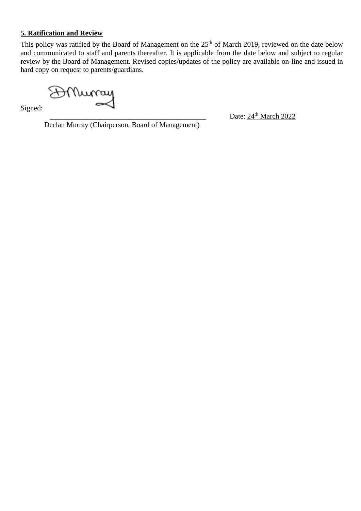#### **5. Ratification and Review**

This policy was ratified by the Board of Management on the 25<sup>th</sup> of March 2019, reviewed on the date below and communicated to staff and parents thereafter. It is applicable from the date below and subject to regular review by the Board of Management. Revised copies/updates of the policy are available on-line and issued in hard copy on request to parents/guardians.

AMurray

Signed:

 $\frac{1}{24}$  Date:  $24^{\text{th}}$  March 2022

Declan Murray (Chairperson, Board of Management)